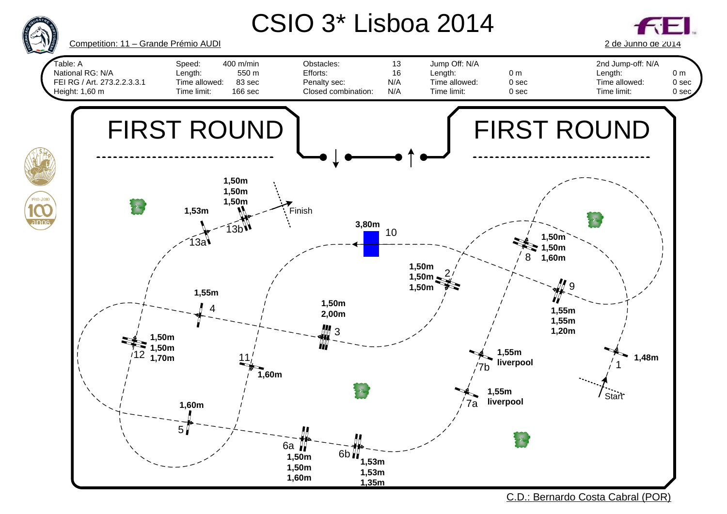

C.D.: Bernardo Costa Cabral (POR)